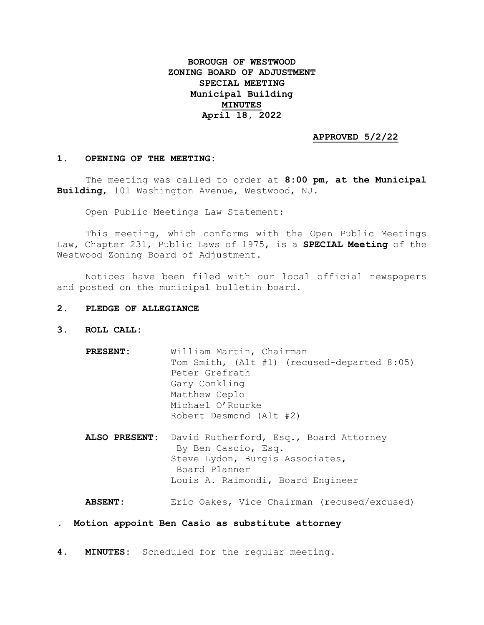## **BOROUGH OF WESTWOOD ZONING BOARD OF ADJUSTMENT SPECIAL MEETING Municipal Building MINUTES April 18, 2022**

## **APPROVED 5/2/22**

## **1. OPENING OF THE MEETING:**

The meeting was called to order at **8:00 pm**, **at the Municipal Building**, 101 Washington Avenue, Westwood, NJ.

Open Public Meetings Law Statement:

This meeting, which conforms with the Open Public Meetings Law, Chapter 231, Public Laws of 1975, is a **SPECIAL Meeting** of the Westwood Zoning Board of Adjustment.

Notices have been filed with our local official newspapers and posted on the municipal bulletin board.

- **2. PLEDGE OF ALLEGIANCE**
- **3. ROLL CALL:**
	- **PRESENT:** William Martin, Chairman Tom Smith, (Alt #1) (recused-departed 8:05) Peter Grefrath Gary Conkling Matthew Ceplo Michael O'Rourke Robert Desmond (Alt #2)
	- **ALSO PRESENT:** David Rutherford, Esq., Board Attorney By Ben Cascio, Esq. Steve Lydon, Burgis Associates, Board Planner Louis A. Raimondi, Board Engineer

**ABSENT:** Eric Oakes, Vice Chairman (recused/excused)

- **. Motion appoint Ben Casio as substitute attorney**
- **4. MINUTES:** Scheduled for the regular meeting.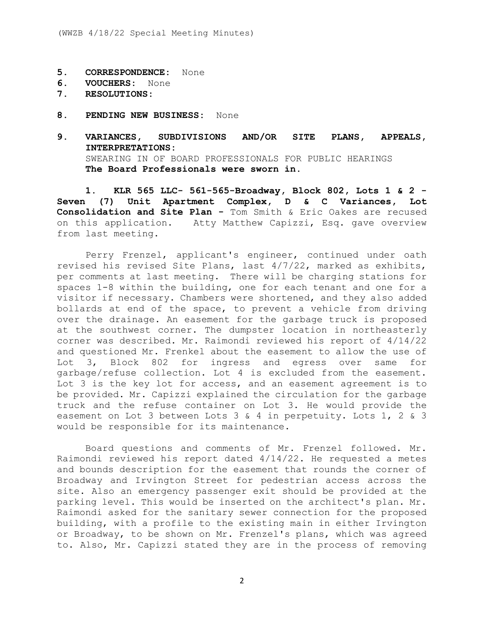- **5. CORRESPONDENCE:** None
- **6. VOUCHERS:** None
- **7. RESOLUTIONS:**
- **8. PENDING NEW BUSINESS:** None
- **9. VARIANCES, SUBDIVISIONS AND/OR SITE PLANS, APPEALS, INTERPRETATIONS:** SWEARING IN OF BOARD PROFESSIONALS FOR PUBLIC HEARINGS **The Board Professionals were sworn in.**

**1. KLR 565 LLC- 561-565-Broadway, Block 802, Lots 1 & 2 - Seven (7) Unit Apartment Complex, D & C Variances, Lot Consolidation and Site Plan -** Tom Smith & Eric Oakes are recused on this application. Atty Matthew Capizzi, Esq. gave overview from last meeting.

Perry Frenzel, applicant's engineer, continued under oath revised his revised Site Plans, last 4/7/22, marked as exhibits, per comments at last meeting. There will be charging stations for spaces 1-8 within the building, one for each tenant and one for a visitor if necessary. Chambers were shortened, and they also added bollards at end of the space, to prevent a vehicle from driving over the drainage. An easement for the garbage truck is proposed at the southwest corner. The dumpster location in northeasterly corner was described. Mr. Raimondi reviewed his report of 4/14/22 and questioned Mr. Frenkel about the easement to allow the use of Lot 3, Block 802 for ingress and egress over same for garbage/refuse collection. Lot 4 is excluded from the easement. Lot 3 is the key lot for access, and an easement agreement is to be provided. Mr. Capizzi explained the circulation for the garbage truck and the refuse container on Lot 3. He would provide the easement on Lot 3 between Lots 3 & 4 in perpetuity. Lots 1, 2 & 3 would be responsible for its maintenance.

Board questions and comments of Mr. Frenzel followed. Mr. Raimondi reviewed his report dated 4/14/22. He requested a metes and bounds description for the easement that rounds the corner of Broadway and Irvington Street for pedestrian access across the site. Also an emergency passenger exit should be provided at the parking level. This would be inserted on the architect's plan. Mr. Raimondi asked for the sanitary sewer connection for the proposed building, with a profile to the existing main in either Irvington or Broadway, to be shown on Mr. Frenzel's plans, which was agreed to. Also, Mr. Capizzi stated they are in the process of removing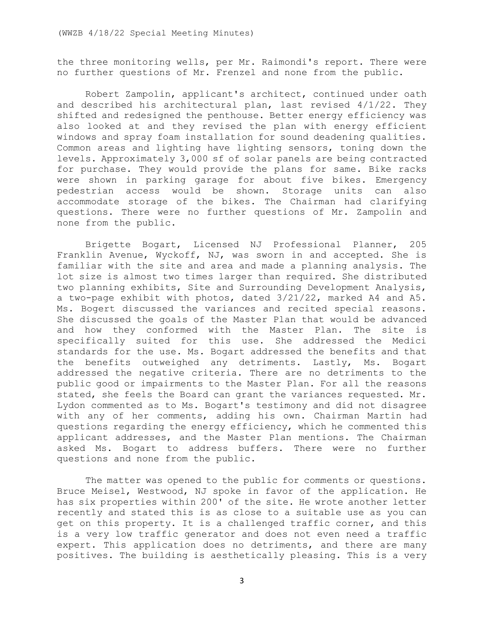the three monitoring wells, per Mr. Raimondi's report. There were no further questions of Mr. Frenzel and none from the public.

Robert Zampolin, applicant's architect, continued under oath and described his architectural plan, last revised 4/1/22. They shifted and redesigned the penthouse. Better energy efficiency was also looked at and they revised the plan with energy efficient windows and spray foam installation for sound deadening qualities. Common areas and lighting have lighting sensors, toning down the levels. Approximately 3,000 sf of solar panels are being contracted for purchase. They would provide the plans for same. Bike racks were shown in parking garage for about five bikes. Emergency pedestrian access would be shown. Storage units can also accommodate storage of the bikes. The Chairman had clarifying questions. There were no further questions of Mr. Zampolin and none from the public.

Brigette Bogart, Licensed NJ Professional Planner, 205 Franklin Avenue, Wyckoff, NJ, was sworn in and accepted. She is familiar with the site and area and made a planning analysis. The lot size is almost two times larger than required. She distributed two planning exhibits, Site and Surrounding Development Analysis, a two-page exhibit with photos, dated 3/21/22, marked A4 and A5. Ms. Bogert discussed the variances and recited special reasons. She discussed the goals of the Master Plan that would be advanced and how they conformed with the Master Plan. The site is specifically suited for this use. She addressed the Medici standards for the use. Ms. Bogart addressed the benefits and that the benefits outweighed any detriments. Lastly, Ms. Bogart addressed the negative criteria. There are no detriments to the public good or impairments to the Master Plan. For all the reasons stated, she feels the Board can grant the variances requested. Mr. Lydon commented as to Ms. Bogart's testimony and did not disagree with any of her comments, adding his own. Chairman Martin had questions regarding the energy efficiency, which he commented this applicant addresses, and the Master Plan mentions. The Chairman asked Ms. Bogart to address buffers. There were no further questions and none from the public.

The matter was opened to the public for comments or questions. Bruce Meisel, Westwood, NJ spoke in favor of the application. He has six properties within 200' of the site. He wrote another letter recently and stated this is as close to a suitable use as you can get on this property. It is a challenged traffic corner, and this is a very low traffic generator and does not even need a traffic expert. This application does no detriments, and there are many positives. The building is aesthetically pleasing. This is a very

3